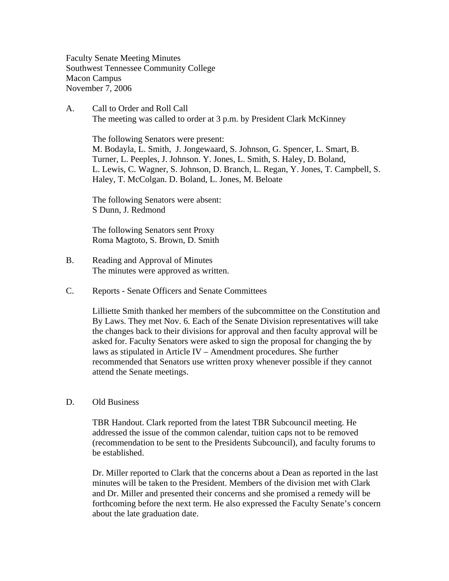Faculty Senate Meeting Minutes Southwest Tennessee Community College Macon Campus November 7, 2006

A. Call to Order and Roll Call The meeting was called to order at 3 p.m. by President Clark McKinney

 The following Senators were present: M. Bodayla, L. Smith, J. Jongewaard, S. Johnson, G. Spencer, L. Smart, B. Turner, L. Peeples, J. Johnson. Y. Jones, L. Smith, S. Haley, D. Boland, L. Lewis, C. Wagner, S. Johnson, D. Branch, L. Regan, Y. Jones, T. Campbell, S. Haley, T. McColgan. D. Boland, L. Jones, M. Beloate

The following Senators were absent: S Dunn, J. Redmond

The following Senators sent Proxy Roma Magtoto, S. Brown, D. Smith

- B. Reading and Approval of Minutes The minutes were approved as written.
- C. Reports Senate Officers and Senate Committees

Lilliette Smith thanked her members of the subcommittee on the Constitution and By Laws. They met Nov. 6. Each of the Senate Division representatives will take the changes back to their divisions for approval and then faculty approval will be asked for. Faculty Senators were asked to sign the proposal for changing the by laws as stipulated in Article IV – Amendment procedures. She further recommended that Senators use written proxy whenever possible if they cannot attend the Senate meetings.

D. Old Business

TBR Handout. Clark reported from the latest TBR Subcouncil meeting. He addressed the issue of the common calendar, tuition caps not to be removed (recommendation to be sent to the Presidents Subcouncil), and faculty forums to be established.

Dr. Miller reported to Clark that the concerns about a Dean as reported in the last minutes will be taken to the President. Members of the division met with Clark and Dr. Miller and presented their concerns and she promised a remedy will be forthcoming before the next term. He also expressed the Faculty Senate's concern about the late graduation date.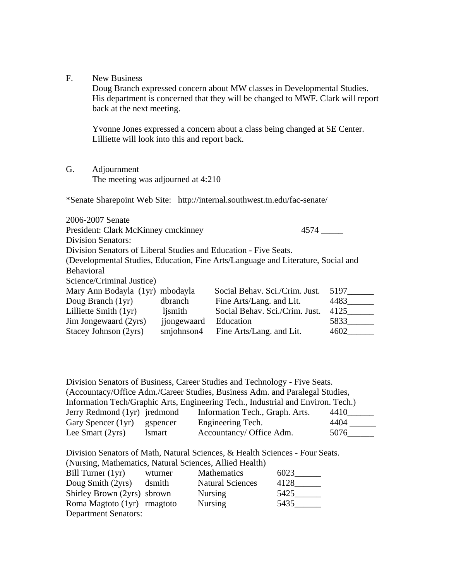F. New Business

Doug Branch expressed concern about MW classes in Developmental Studies. His department is concerned that they will be changed to MWF. Clark will report back at the next meeting.

Yvonne Jones expressed a concern about a class being changed at SE Center. Lilliette will look into this and report back.

G. Adjournment The meeting was adjourned at 4:210

\*Senate Sharepoint Web Site: http://internal.southwest.tn.edu/fac-senate/

| 2006-2007 Senate                                                 |             |                                                                                  |      |
|------------------------------------------------------------------|-------------|----------------------------------------------------------------------------------|------|
| President: Clark McKinney cmckinney                              |             | 4574                                                                             |      |
| <b>Division Senators:</b>                                        |             |                                                                                  |      |
| Division Senators of Liberal Studies and Education - Five Seats. |             |                                                                                  |      |
|                                                                  |             | (Developmental Studies, Education, Fine Arts/Language and Literature, Social and |      |
| <b>Behavioral</b>                                                |             |                                                                                  |      |
| Science/Criminal Justice)                                        |             |                                                                                  |      |
| Mary Ann Bodayla (1yr) mbodayla                                  |             | Social Behav. Sci./Crim. Just.                                                   | 5197 |
| Doug Branch (1yr)                                                | dbranch     | Fine Arts/Lang. and Lit.                                                         | 4483 |
| Lilliette Smith (1yr)                                            | ljsmith     | Social Behav. Sci./Crim. Just.                                                   | 4125 |
| Jim Jongewaard (2yrs)                                            | jjongewaard | Education                                                                        | 5833 |
| Stacey Johnson (2yrs)                                            | smjohnson4  | Fine Arts/Lang. and Lit.                                                         | 4602 |

Division Senators of Business, Career Studies and Technology - Five Seats. (Accountacy/Office Adm./Career Studies, Business Adm. and Paralegal Studies, Information Tech/Graphic Arts, Engineering Tech., Industrial and Environ. Tech.) Jerry Redmond (1yr) jredmond Information Tech., Graph. Arts. 4410\_\_\_\_\_\_ Gary Spencer (1yr) gspencer Engineering Tech. 4404 \_\_\_\_\_\_ Lee Smart (2yrs) lsmart Accountancy/ Office Adm. 5076

Division Senators of Math, Natural Sciences, & Health Sciences - Four Seats. (Nursing, Mathematics, Natural Sciences, Allied Health)

| Bill Turner $(1yr)$         | wturner | <b>Mathematics</b>      | 6023 |
|-----------------------------|---------|-------------------------|------|
| Doug Smith (2yrs)           | dsmith  | <b>Natural Sciences</b> | 4128 |
| Shirley Brown (2yrs) sbrown |         | <b>Nursing</b>          | 5425 |
| Roma Magtoto (1yr) rmagtoto |         | <b>Nursing</b>          | 5435 |
| <b>Department Senators:</b> |         |                         |      |